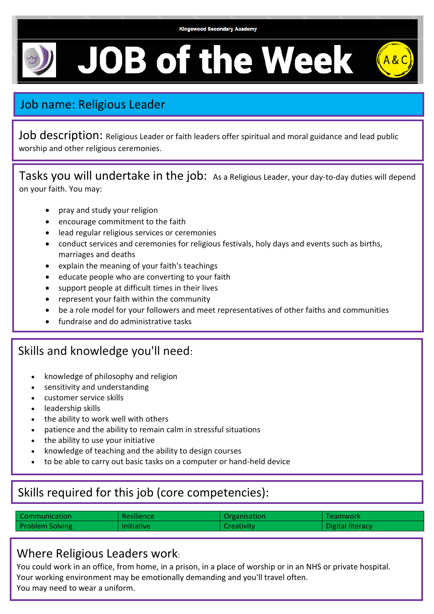

# **JOB of the Week**



Job description: Religious Leader or faith leaders offer spiritual and moral guidance and lead public worship and other religious ceremonies.

Tasks you will undertake in the job: As a Religious Leader, your day-to-day duties will depend on your faith. You may:

- pray and study your religion
- encourage commitment to the faith
- lead regular religious services or ceremonies
- conduct services and ceremonies for religious festivals, holy days and events such as births, marriages and deaths
- explain the meaning of your faith's teachings
- educate people who are converting to your faith
- support people at difficult times in their lives
- represent your faith within the community
- be a role model for your followers and meet representatives of other faiths and communities
- fundraise and do administrative tasks

### Skills and knowledge you'll need:

- knowledge of philosophy and religion
- sensitivity and understanding
- customer service skills
- leadership skills

•

- the ability to work well with others
- patience and the ability to remain calm in stressful situations
- the ability to use your initiative
- knowledge of teaching and the ability to design courses
- to be able to carry out basic tasks on a computer or hand-held device

# Skills required for this job (core competencies):

| l Communication | <b>Resilience</b> | Organisation | Teamwork                |
|-----------------|-------------------|--------------|-------------------------|
| Problem Solving | <b>Initiative</b> | Creativity   | <b>Digital literacy</b> |

### Where Religious Leaders work:

You could work in an office, from home, in a prison, in a place of worship or in an NHS or private hospital. Your working environment may be emotionally demanding and you'll travel often. You may need to wear a uniform.